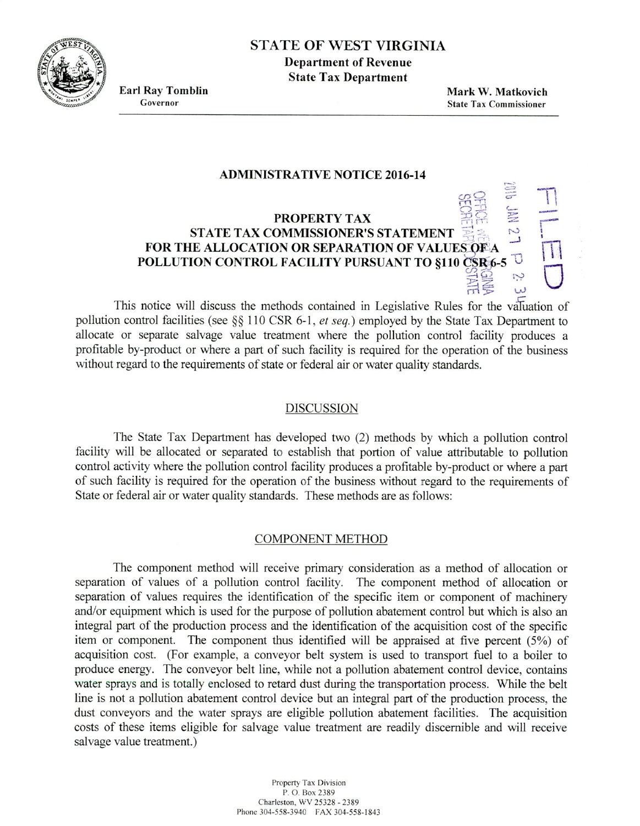

## STATE OF WEST VIRGINIA

**Department of Revenue State Tax Department**

**Earl Ray Tomblin** Governor

**Mark W. Matkovich** State Tax Commissioner

#### **ADMINISTRATIVE NOTICE 2016-14**

# **PROPERTY TAX STATE TAX COMMISSIONER'S STATEMENT** FOR THE ALLOCATION OR SEPARATION OF VALUES OF A **POLLUTION CONTROL FACILITY PURSUANT TO §110 CSR6-5**

This notice will discuss the methods contained in Legislative Rules for the valuation of pollution control facilities (see §§ 110 CSR 6-1, *et seq.*) employed by the State Tax Department to allocate or separate salvage value treatment where the pollution control facility produces a profitable by-product or where a part of such facility is required for the operation of the business without regard to the requirements of state or federal air or water quality standards.

#### DISCUSSION

The State Tax Department has developed two (2) methods by which a pollution control facility will be allocated or separated to establish that portion of value attributable to pollution control activity where the pollution control facility produces a profitable by-product or where a part of such facility is required for the operation of the business without regard to the requirements of State or federal air or water quality standards. These methods are as follows:

#### COMPONENT METHOD

The component method will receive primary consideration as a method of allocation or separation of values of a pollution control facility. The component method of allocation or separation of values requires the identification of the specific item or component of machinery and/or equipment which is used for the purpose of pollution abatement control but which is also an integral part of the production process and the identification of the acquisition cost of the specific item or component. The component thus identified will be appraised at five percent *(5%)* of acquisition cost. (For example, a conveyor belt system is used to transport fuel to a boiler to produce energy. The conveyor belt line, while not a pollution abatement control device, contains water sprays and is totally enclosed to retard dust during the transportation process. While the belt line is not a pollution abatement control device but an integral part of the production process, the dust conveyors and the water sprays are eligible pollution abatement facilities. The acquisition costs of these items eligible for salvage value treatment are readily discernible and will receive salvage value treatment.)

> Property Tax Division P. 0. Box 2389 Charleston. wv 25328 -2389 Phone *304-558-3940* FAX 304-558-1843